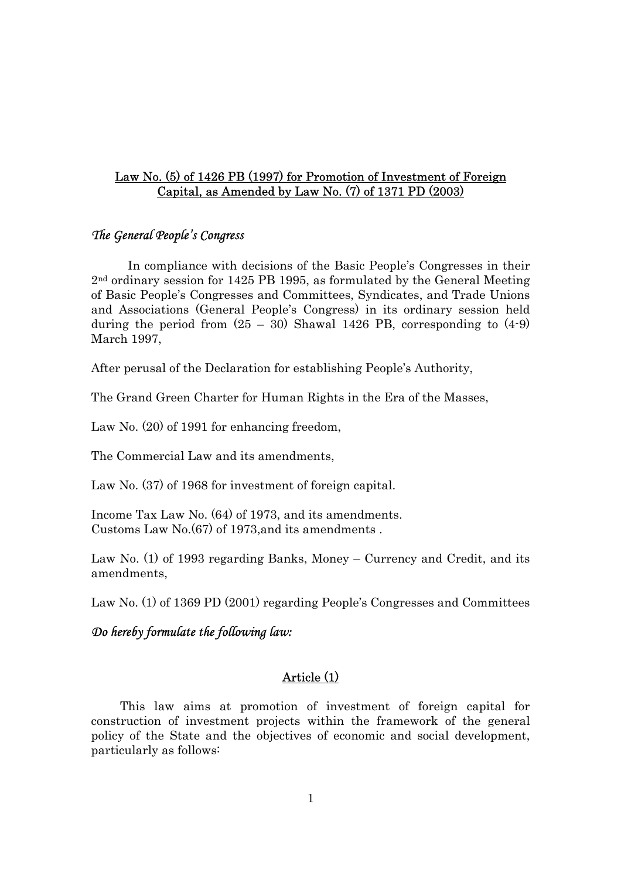# Law No. (5) of 1426 PB (1997) for Promotion of Investment of Foreign Capital, as Amended by Law No. (7) of 1371 PD (2003)

### *The General People's Congress*

In compliance with decisions of the Basic People's Congresses in their 2nd ordinary session for 1425 PB 1995, as formulated by the General Meeting of Basic People's Congresses and Committees, Syndicates, and Trade Unions and Associations (General People's Congress) in its ordinary session held during the period from  $(25 - 30)$  Shawal 1426 PB, corresponding to  $(4-9)$ March 1997,

After perusal of the Declaration for establishing People's Authority,

The Grand Green Charter for Human Rights in the Era of the Masses,

Law No. (20) of 1991 for enhancing freedom,

The Commercial Law and its amendments,

Law No. (37) of 1968 for investment of foreign capital.

Income Tax Law No. (64) of 1973, and its amendments. Customs Law No.(67) of 1973,and its amendments .

Law No. (1) of 1993 regarding Banks, Money – Currency and Credit, and its amendments,

Law No. (1) of 1369 PD (2001) regarding People's Congresses and Committees

# *Do hereby formulate the following law:*

# Article (1)

This law aims at promotion of investment of foreign capital for construction of investment projects within the framework of the general policy of the State and the objectives of economic and social development, particularly as follows: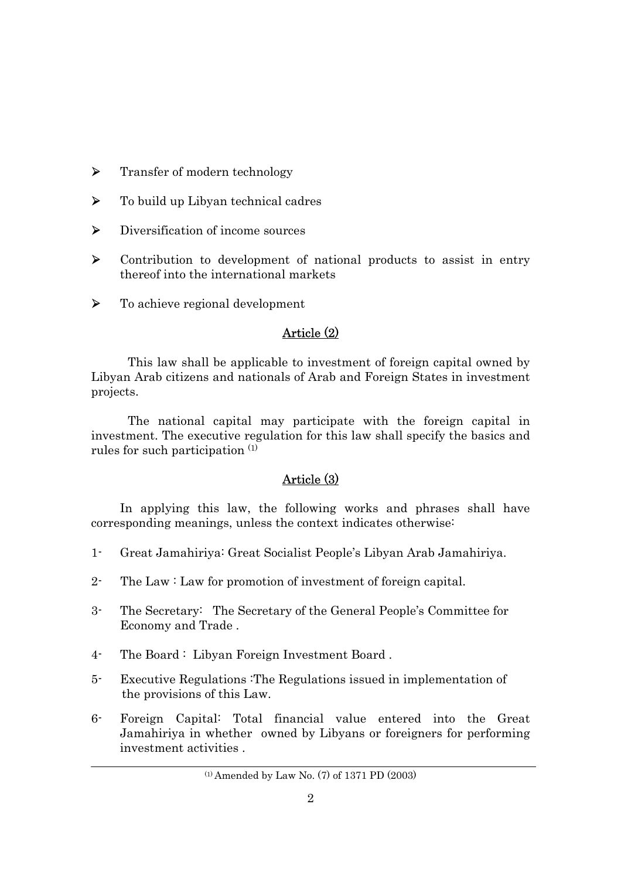- ¾ Transfer of modern technology
- ¾ To build up Libyan technical cadres
- ¾ Diversification of income sources
- ¾ Contribution to development of national products to assist in entry thereof into the international markets
- ¾ To achieve regional development

# Article (2)

This law shall be applicable to investment of foreign capital owned by Libyan Arab citizens and nationals of Arab and Foreign States in investment projects.

The national capital may participate with the foreign capital in investment. The executive regulation for this law shall specify the basics and rules for such participation (1)

# Article (3)

In applying this law, the following works and phrases shall have corresponding meanings, unless the context indicates otherwise:

- 1- Great Jamahiriya: Great Socialist People's Libyan Arab Jamahiriya.
- 2- The Law : Law for promotion of investment of foreign capital.
- 3- The Secretary: The Secretary of the General People's Committee for Economy and Trade .
- 4- The Board : Libyan Foreign Investment Board .
- 5- Executive Regulations :The Regulations issued in implementation of the provisions of this Law.
- 6- Foreign Capital: Total financial value entered into the Great Jamahiriya in whether owned by Libyans or foreigners for performing investment activities .

<sup>(1)</sup> Amended by Law No. (7) of 1371 PD (2003)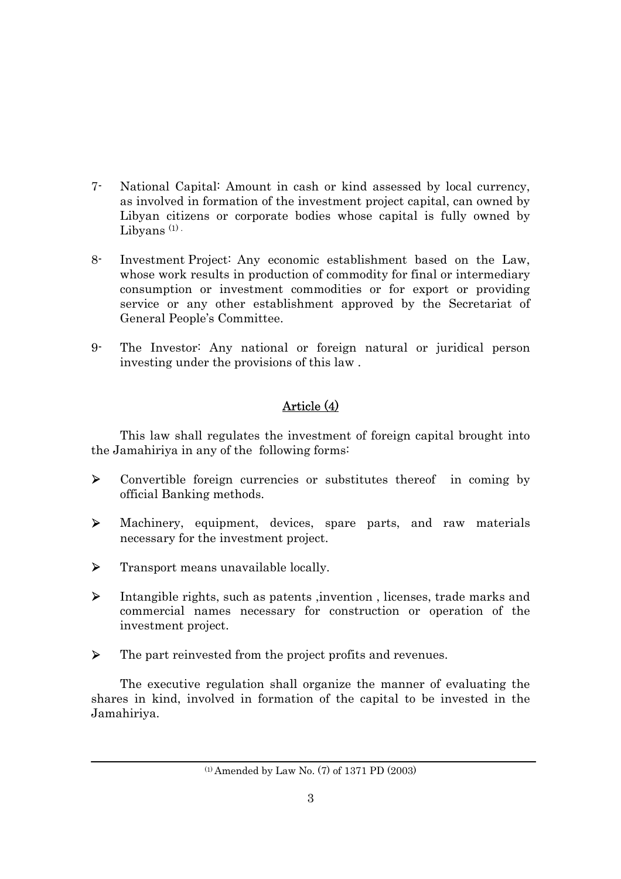- 7- National Capital: Amount in cash or kind assessed by local currency, as involved in formation of the investment project capital, can owned by Libyan citizens or corporate bodies whose capital is fully owned by Libyans  $(1)$ .
- 8- Investment Project: Any economic establishment based on the Law, whose work results in production of commodity for final or intermediary consumption or investment commodities or for export or providing service or any other establishment approved by the Secretariat of General People's Committee.
- 9- The Investor: Any national or foreign natural or juridical person investing under the provisions of this law .

# Article (4)

This law shall regulates the investment of foreign capital brought into the Jamahiriya in any of the following forms:

- ¾ Convertible foreign currencies or substitutes thereof in coming by official Banking methods.
- ¾ Machinery, equipment, devices, spare parts, and raw materials necessary for the investment project.
- ¾ Transport means unavailable locally.
- ¾ Intangible rights, such as patents ,invention , licenses, trade marks and commercial names necessary for construction or operation of the investment project.
- ¾ The part reinvested from the project profits and revenues.

The executive regulation shall organize the manner of evaluating the shares in kind, involved in formation of the capital to be invested in the Jamahiriya.

<sup>(1)</sup> Amended by Law No. (7) of 1371 PD (2003)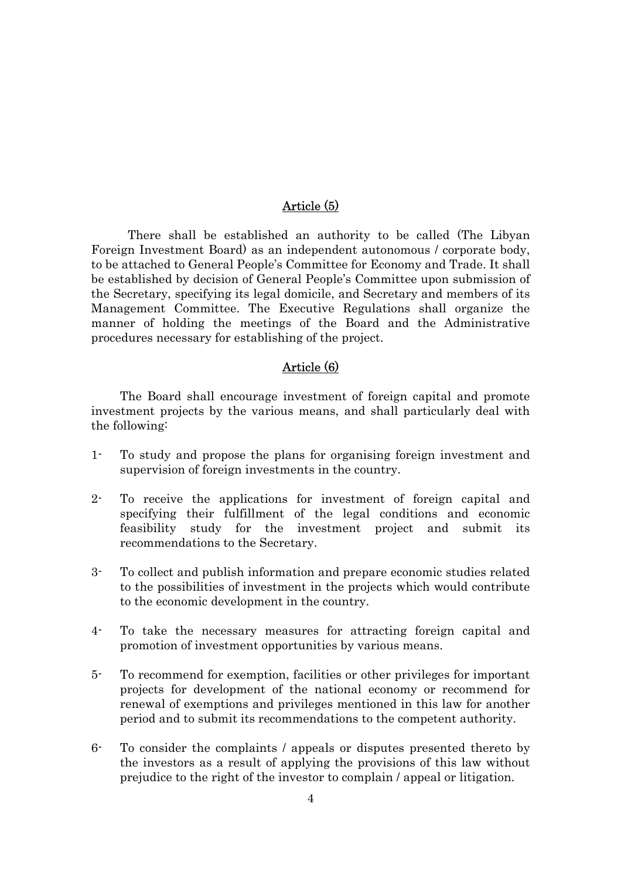# Article (5)

There shall be established an authority to be called (The Libyan Foreign Investment Board) as an independent autonomous / corporate body, to be attached to General People's Committee for Economy and Trade. It shall be established by decision of General People's Committee upon submission of the Secretary, specifying its legal domicile, and Secretary and members of its Management Committee. The Executive Regulations shall organize the manner of holding the meetings of the Board and the Administrative procedures necessary for establishing of the project.

# Article (6)

The Board shall encourage investment of foreign capital and promote investment projects by the various means, and shall particularly deal with the following:

- 1- To study and propose the plans for organising foreign investment and supervision of foreign investments in the country.
- 2- To receive the applications for investment of foreign capital and specifying their fulfillment of the legal conditions and economic feasibility study for the investment project and submit its recommendations to the Secretary.
- 3- To collect and publish information and prepare economic studies related to the possibilities of investment in the projects which would contribute to the economic development in the country.
- 4- To take the necessary measures for attracting foreign capital and promotion of investment opportunities by various means.
- 5- To recommend for exemption, facilities or other privileges for important projects for development of the national economy or recommend for renewal of exemptions and privileges mentioned in this law for another period and to submit its recommendations to the competent authority.
- 6- To consider the complaints / appeals or disputes presented thereto by the investors as a result of applying the provisions of this law without prejudice to the right of the investor to complain / appeal or litigation.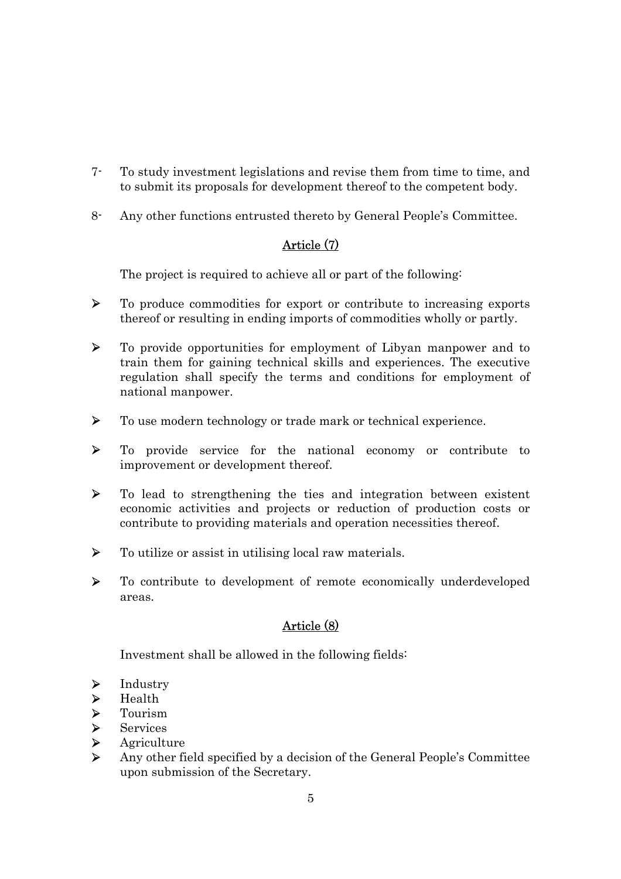- 7- To study investment legislations and revise them from time to time, and to submit its proposals for development thereof to the competent body.
- 8- Any other functions entrusted thereto by General People's Committee.

# Article (7)

The project is required to achieve all or part of the following:

- ¾ To produce commodities for export or contribute to increasing exports thereof or resulting in ending imports of commodities wholly or partly.
- ¾ To provide opportunities for employment of Libyan manpower and to train them for gaining technical skills and experiences. The executive regulation shall specify the terms and conditions for employment of national manpower.
- ¾ To use modern technology or trade mark or technical experience.
- ¾ To provide service for the national economy or contribute to improvement or development thereof.
- ¾ To lead to strengthening the ties and integration between existent economic activities and projects or reduction of production costs or contribute to providing materials and operation necessities thereof.
- $\triangleright$  To utilize or assist in utilising local raw materials.
- ¾ To contribute to development of remote economically underdeveloped areas.

# Article (8)

Investment shall be allowed in the following fields:

- $\blacktriangleright$  Industry
- 
- → Health<br>
→ Tourism<br>
→ Service<br>
→ Agricul<br>
→ Any oth **Tourism**
- **Services**
- **Agriculture**
- ¾ Any other field specified by a decision of the General People's Committee upon submission of the Secretary.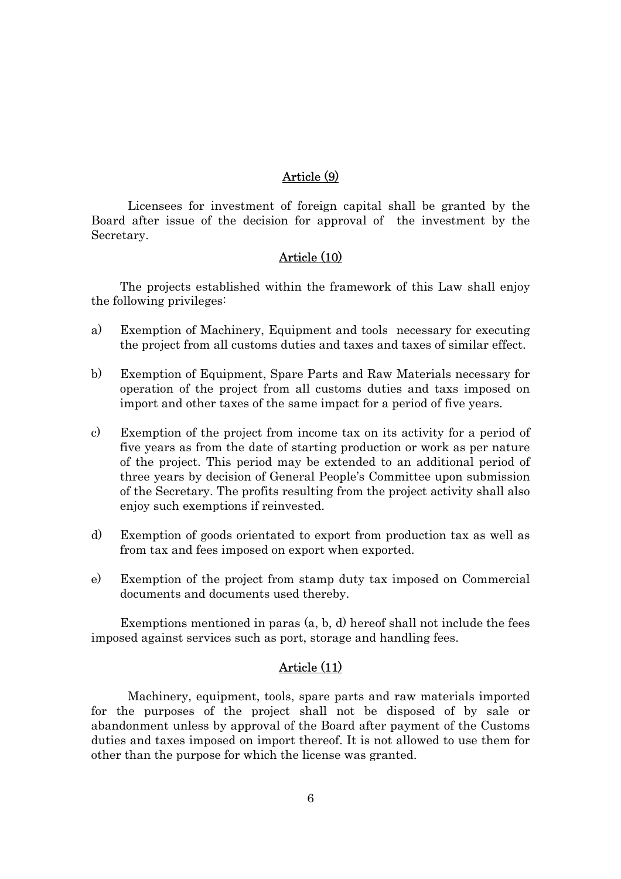# Article (9)

Licensees for investment of foreign capital shall be granted by the Board after issue of the decision for approval of the investment by the Secretary.

### Article (10)

The projects established within the framework of this Law shall enjoy the following privileges:

- a) Exemption of Machinery, Equipment and tools necessary for executing the project from all customs duties and taxes and taxes of similar effect.
- b) Exemption of Equipment, Spare Parts and Raw Materials necessary for operation of the project from all customs duties and taxs imposed on import and other taxes of the same impact for a period of five years.
- c) Exemption of the project from income tax on its activity for a period of five years as from the date of starting production or work as per nature of the project. This period may be extended to an additional period of three years by decision of General People's Committee upon submission of the Secretary. The profits resulting from the project activity shall also enjoy such exemptions if reinvested.
- d) Exemption of goods orientated to export from production tax as well as from tax and fees imposed on export when exported.
- e) Exemption of the project from stamp duty tax imposed on Commercial documents and documents used thereby.

Exemptions mentioned in paras (a, b, d) hereof shall not include the fees imposed against services such as port, storage and handling fees.

### Article (11)

Machinery, equipment, tools, spare parts and raw materials imported for the purposes of the project shall not be disposed of by sale or abandonment unless by approval of the Board after payment of the Customs duties and taxes imposed on import thereof. It is not allowed to use them for other than the purpose for which the license was granted.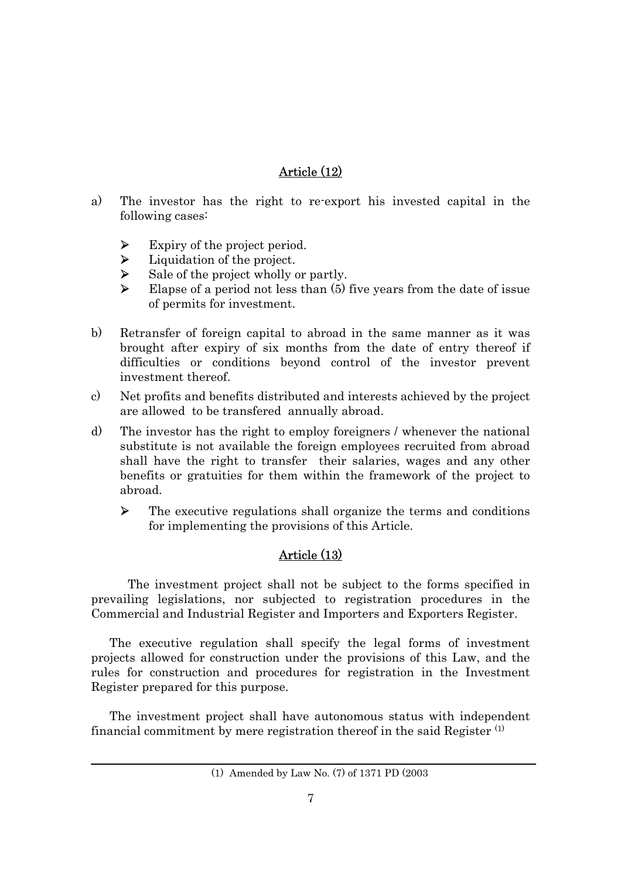# Article (12)

- a) The investor has the right to re-export his invested capital in the following cases:
	- $\triangleright$  Expiry of the project period.
	- $\blacktriangleright$  Liquidation of the project.
	- $\triangleright$  Sale of the project wholly or partly.
	- $\blacktriangleright$  Elapse of a period not less than (5) five years from the date of issue of permits for investment.
- b) Retransfer of foreign capital to abroad in the same manner as it was brought after expiry of six months from the date of entry thereof if difficulties or conditions beyond control of the investor prevent investment thereof.
- c) Net profits and benefits distributed and interests achieved by the project are allowed to be transfered annually abroad.
- d) The investor has the right to employ foreigners / whenever the national substitute is not available the foreign employees recruited from abroad shall have the right to transfer their salaries, wages and any other benefits or gratuities for them within the framework of the project to abroad.
	- ¾ The executive regulations shall organize the terms and conditions for implementing the provisions of this Article.

# Article (13)

The investment project shall not be subject to the forms specified in prevailing legislations, nor subjected to registration procedures in the Commercial and Industrial Register and Importers and Exporters Register.

The executive regulation shall specify the legal forms of investment projects allowed for construction under the provisions of this Law, and the rules for construction and procedures for registration in the Investment Register prepared for this purpose.

The investment project shall have autonomous status with independent financial commitment by mere registration thereof in the said Register (1)

<sup>(1)</sup> Amended by Law No. (7) of 1371 PD (2003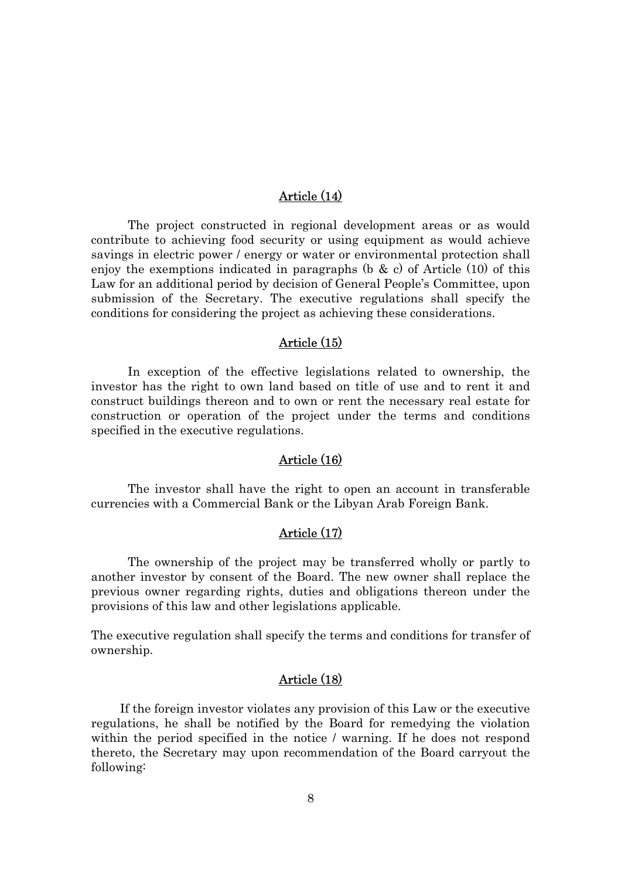### Article (14)

The project constructed in regional development areas or as would contribute to achieving food security or using equipment as would achieve savings in electric power / energy or water or environmental protection shall enjoy the exemptions indicated in paragraphs  $(b \& c)$  of Article  $(10)$  of this Law for an additional period by decision of General People's Committee, upon submission of the Secretary. The executive regulations shall specify the conditions for considering the project as achieving these considerations.

### Article (15)

In exception of the effective legislations related to ownership, the investor has the right to own land based on title of use and to rent it and construct buildings thereon and to own or rent the necessary real estate for construction or operation of the project under the terms and conditions specified in the executive regulations.

#### Article (16)

The investor shall have the right to open an account in transferable currencies with a Commercial Bank or the Libyan Arab Foreign Bank.

## Article (17)

The ownership of the project may be transferred wholly or partly to another investor by consent of the Board. The new owner shall replace the previous owner regarding rights, duties and obligations thereon under the provisions of this law and other legislations applicable.

The executive regulation shall specify the terms and conditions for transfer of ownership.

## Article (18)

If the foreign investor violates any provision of this Law or the executive regulations, he shall be notified by the Board for remedying the violation within the period specified in the notice / warning. If he does not respond thereto, the Secretary may upon recommendation of the Board carryout the following: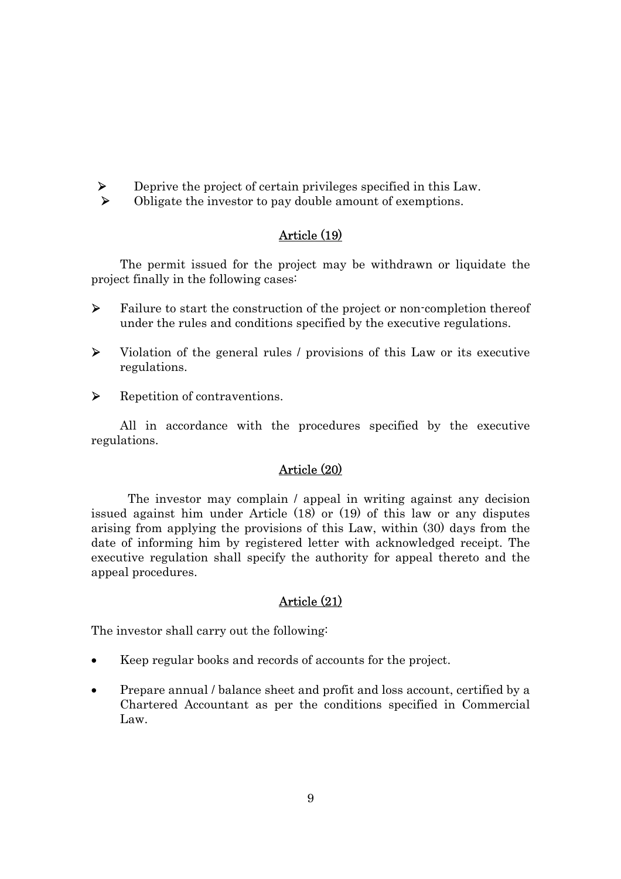

¾ Deprive the project of certain privileges specified in this Law. ¾ Obligate the investor to pay double amount of exemptions.

# Article (19)

The permit issued for the project may be withdrawn or liquidate the project finally in the following cases:

- $\triangleright$  Failure to start the construction of the project or non-completion thereof under the rules and conditions specified by the executive regulations.
- ¾ Violation of the general rules / provisions of this Law or its executive regulations.
- ¾ Repetition of contraventions.

All in accordance with the procedures specified by the executive regulations.

### Article (20)

The investor may complain / appeal in writing against any decision issued against him under Article (18) or (19) of this law or any disputes arising from applying the provisions of this Law, within (30) days from the date of informing him by registered letter with acknowledged receipt. The executive regulation shall specify the authority for appeal thereto and the appeal procedures.

### Article (21)

The investor shall carry out the following:

- Keep regular books and records of accounts for the project.
- Prepare annual / balance sheet and profit and loss account, certified by a Chartered Accountant as per the conditions specified in Commercial Law.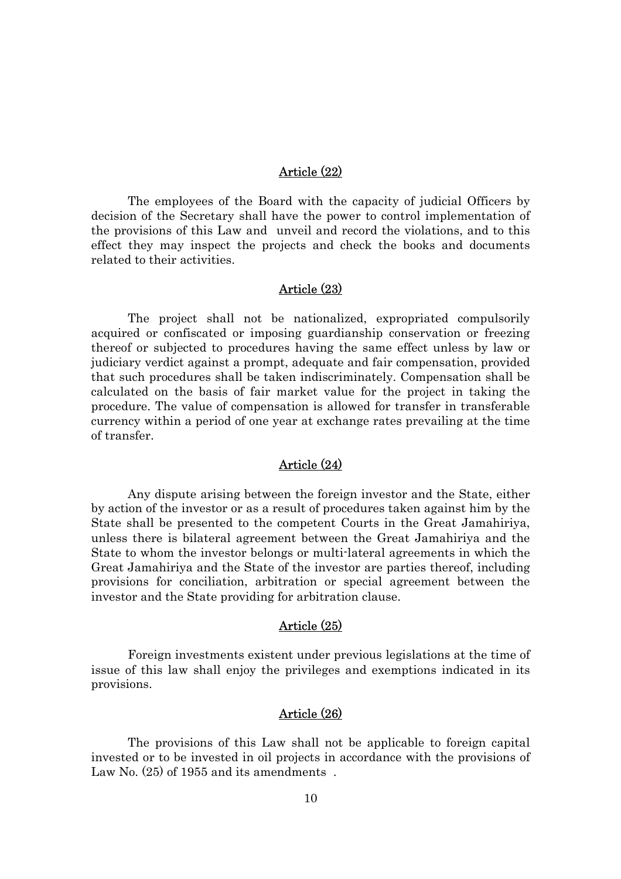# Article (22)

The employees of the Board with the capacity of judicial Officers by decision of the Secretary shall have the power to control implementation of the provisions of this Law and unveil and record the violations, and to this effect they may inspect the projects and check the books and documents related to their activities.

#### Article (23)

The project shall not be nationalized, expropriated compulsorily acquired or confiscated or imposing guardianship conservation or freezing thereof or subjected to procedures having the same effect unless by law or judiciary verdict against a prompt, adequate and fair compensation, provided that such procedures shall be taken indiscriminately. Compensation shall be calculated on the basis of fair market value for the project in taking the procedure. The value of compensation is allowed for transfer in transferable currency within a period of one year at exchange rates prevailing at the time of transfer.

### Article (24)

Any dispute arising between the foreign investor and the State, either by action of the investor or as a result of procedures taken against him by the State shall be presented to the competent Courts in the Great Jamahiriya, unless there is bilateral agreement between the Great Jamahiriya and the State to whom the investor belongs or multi-lateral agreements in which the Great Jamahiriya and the State of the investor are parties thereof, including provisions for conciliation, arbitration or special agreement between the investor and the State providing for arbitration clause.

#### Article (25)

Foreign investments existent under previous legislations at the time of issue of this law shall enjoy the privileges and exemptions indicated in its provisions.

### Article (26)

The provisions of this Law shall not be applicable to foreign capital invested or to be invested in oil projects in accordance with the provisions of Law No.  $(25)$  of 1955 and its amendments.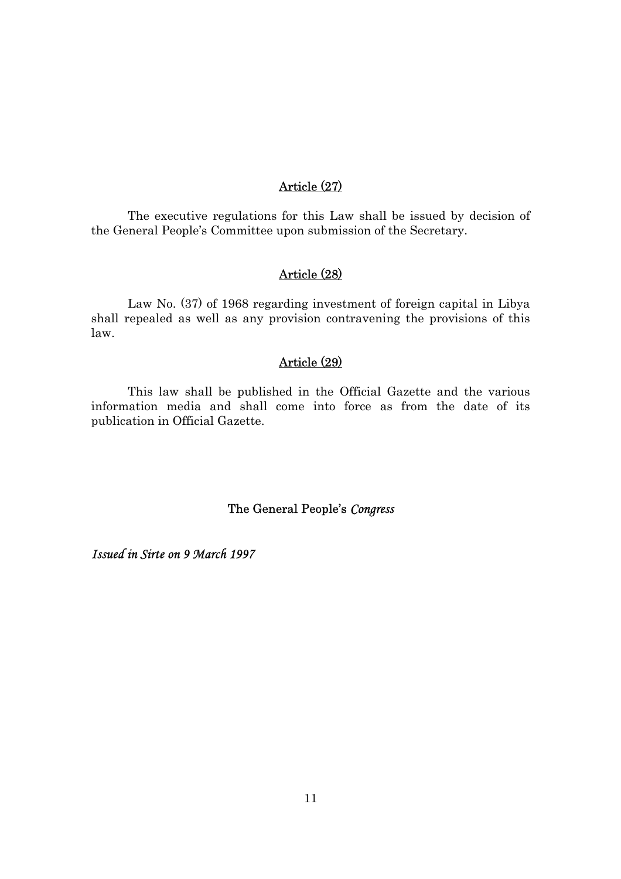# Article (27)

The executive regulations for this Law shall be issued by decision of the General People's Committee upon submission of the Secretary.

# Article (28)

Law No. (37) of 1968 regarding investment of foreign capital in Libya shall repealed as well as any provision contravening the provisions of this law.

# Article (29)

This law shall be published in the Official Gazette and the various information media and shall come into force as from the date of its publication in Official Gazette.

# The General People's *Congress*

*Issued in Sirte on 9 March 1997*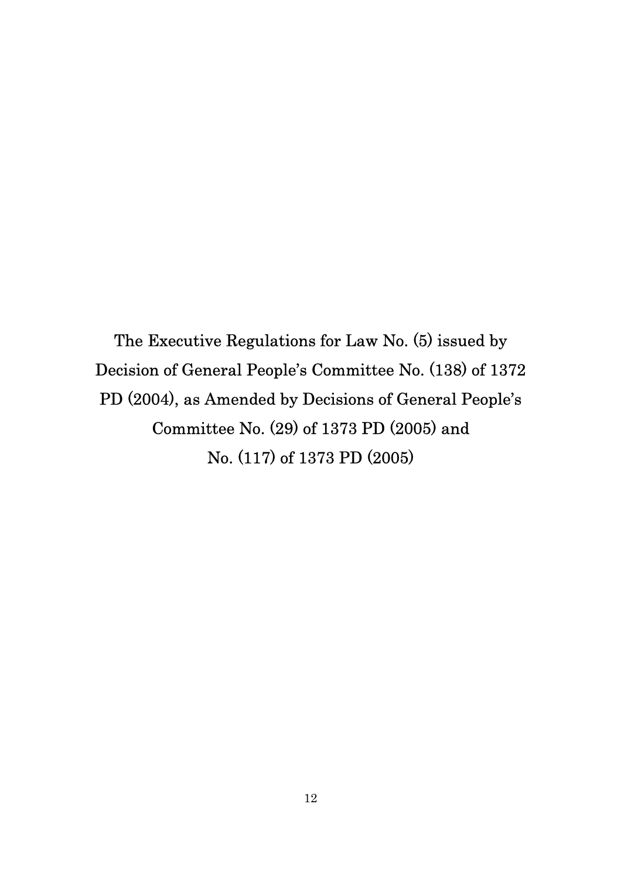The Executive Regulations for Law No. (5) issued by Decision of General People's Committee No. (138) of 1372 PD (2004), as Amended by Decisions of General People's Committee No. (29) of 1373 PD (2005) and No. (117) of 1373 PD (2005)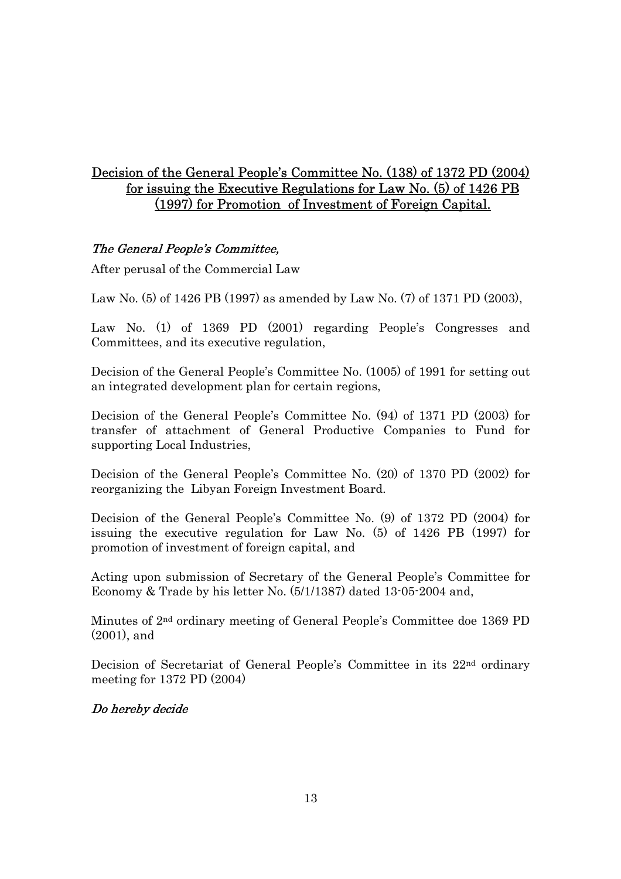# Decision of the General People's Committee No. (138) of 1372 PD (2004) for issuing the Executive Regulations for Law No. (5) of 1426 PB (1997) for Promotion of Investment of Foreign Capital.

# The General People's Committee,

After perusal of the Commercial Law

Law No. (5) of 1426 PB (1997) as amended by Law No. (7) of 1371 PD (2003),

Law No. (1) of 1369 PD (2001) regarding People's Congresses and Committees, and its executive regulation,

Decision of the General People's Committee No. (1005) of 1991 for setting out an integrated development plan for certain regions,

Decision of the General People's Committee No. (94) of 1371 PD (2003) for transfer of attachment of General Productive Companies to Fund for supporting Local Industries,

Decision of the General People's Committee No. (20) of 1370 PD (2002) for reorganizing the Libyan Foreign Investment Board.

Decision of the General People's Committee No. (9) of 1372 PD (2004) for issuing the executive regulation for Law No. (5) of 1426 PB (1997) for promotion of investment of foreign capital, and

Acting upon submission of Secretary of the General People's Committee for Economy & Trade by his letter No. (5/1/1387) dated 13-05-2004 and,

Minutes of 2nd ordinary meeting of General People's Committee doe 1369 PD (2001), and

Decision of Secretariat of General People's Committee in its 22nd ordinary meeting for 1372 PD (2004)

# Do hereby decide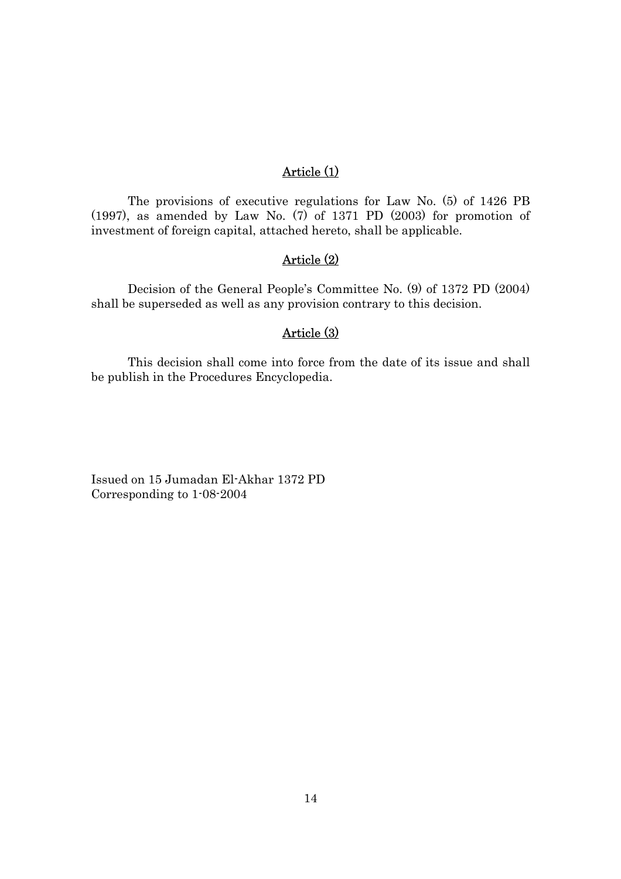# Article (1)

The provisions of executive regulations for Law No. (5) of 1426 PB (1997), as amended by Law No. (7) of 1371 PD (2003) for promotion of investment of foreign capital, attached hereto, shall be applicable.

# Article (2)

Decision of the General People's Committee No. (9) of 1372 PD (2004) shall be superseded as well as any provision contrary to this decision.

# Article (3)

This decision shall come into force from the date of its issue and shall be publish in the Procedures Encyclopedia.

Issued on 15 Jumadan El-Akhar 1372 PD Corresponding to 1-08-2004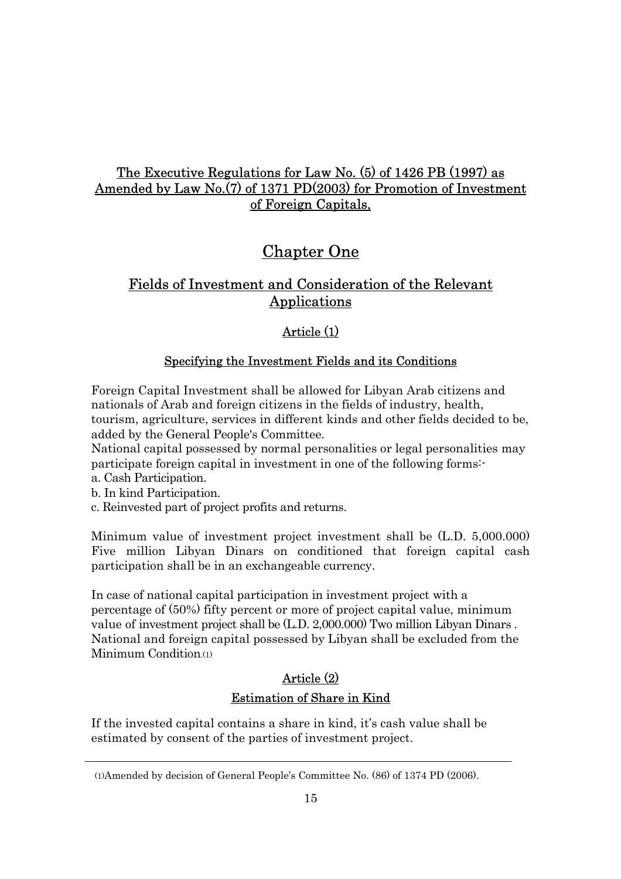# The Executive Regulations for Law No. (5) of 1426 PB (1997) as Amended by Law No.(7) of 1371 PD(2003) for Promotion of Investment of Foreign Capitals,

# Chapter One

# Fields of Investment and Consideration of the Relevant Applications

# Article (1)

# Specifying the Investment Fields and its Conditions

Foreign Capital Investment shall be allowed for Libyan Arab citizens and nationals of Arab and foreign citizens in the fields of industry, health, tourism, agriculture, services in different kinds and other fields decided to be, added by the General People's Committee.

National capital possessed by normal personalities or legal personalities may participate foreign capital in investment in one of the following forms:-

- a. Cash Participation.
- b. In kind Participation.
- c. Reinvested part of project profits and returns.

Minimum value of investment project investment shall be (L.D. 5,000.000) Five million Libyan Dinars on conditioned that foreign capital cash participation shall be in an exchangeable currency.

In case of national capital participation in investment project with a percentage of (50%) fifty percent or more of project capital value, minimum value of investment project shall be (L.D. 2,000.000) Two million Libyan Dinars . National and foreign capital possessed by Libyan shall be excluded from the Minimum Condition.(1)

# Article (2) Estimation of Share in Kind

If the invested capital contains a share in kind, it's cash value shall be estimated by consent of the parties of investment project.

<sup>(1)</sup>Amended by decision of General People's Committee No. (86) of 1374 PD (2006).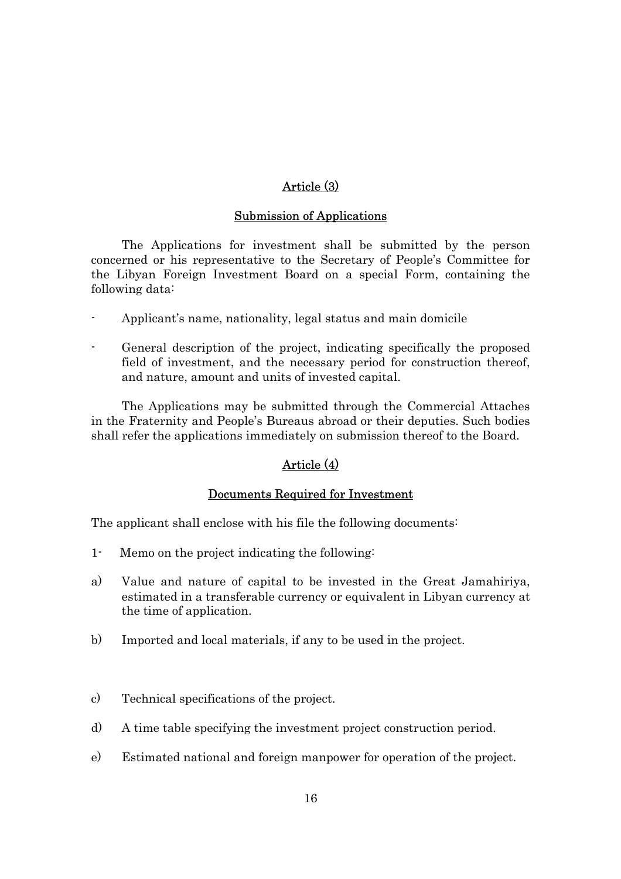# Article (3)

### Submission of Applications

The Applications for investment shall be submitted by the person concerned or his representative to the Secretary of People's Committee for the Libyan Foreign Investment Board on a special Form, containing the following data:

- Applicant's name, nationality, legal status and main domicile
- General description of the project, indicating specifically the proposed field of investment, and the necessary period for construction thereof, and nature, amount and units of invested capital.

The Applications may be submitted through the Commercial Attaches in the Fraternity and People's Bureaus abroad or their deputies. Such bodies shall refer the applications immediately on submission thereof to the Board.

# Article (4)

### Documents Required for Investment

The applicant shall enclose with his file the following documents:

- 1- Memo on the project indicating the following:
- a) Value and nature of capital to be invested in the Great Jamahiriya, estimated in a transferable currency or equivalent in Libyan currency at the time of application.
- b) Imported and local materials, if any to be used in the project.
- c) Technical specifications of the project.
- d) A time table specifying the investment project construction period.
- e) Estimated national and foreign manpower for operation of the project.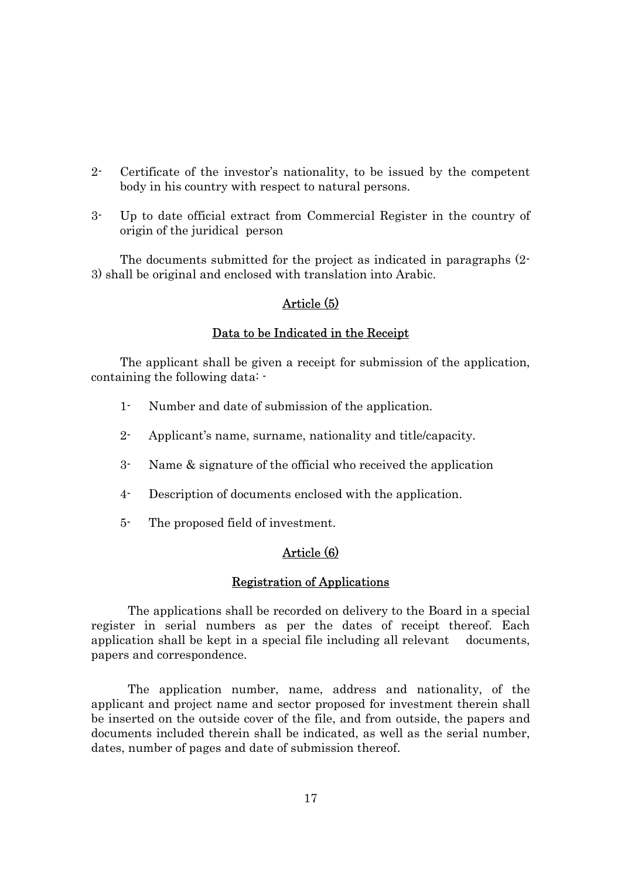- 2- Certificate of the investor's nationality, to be issued by the competent body in his country with respect to natural persons.
- 3- Up to date official extract from Commercial Register in the country of origin of the juridical person

The documents submitted for the project as indicated in paragraphs (2- 3) shall be original and enclosed with translation into Arabic.

### Article (5)

### Data to be Indicated in the Receipt

The applicant shall be given a receipt for submission of the application, containing the following data: -

- 1- Number and date of submission of the application.
- 2- Applicant's name, surname, nationality and title/capacity.
- 3- Name & signature of the official who received the application
- 4- Description of documents enclosed with the application.
- 5- The proposed field of investment.

# Article (6)

#### Registration of Applications

The applications shall be recorded on delivery to the Board in a special register in serial numbers as per the dates of receipt thereof. Each application shall be kept in a special file including all relevant documents, papers and correspondence.

The application number, name, address and nationality, of the applicant and project name and sector proposed for investment therein shall be inserted on the outside cover of the file, and from outside, the papers and documents included therein shall be indicated, as well as the serial number, dates, number of pages and date of submission thereof.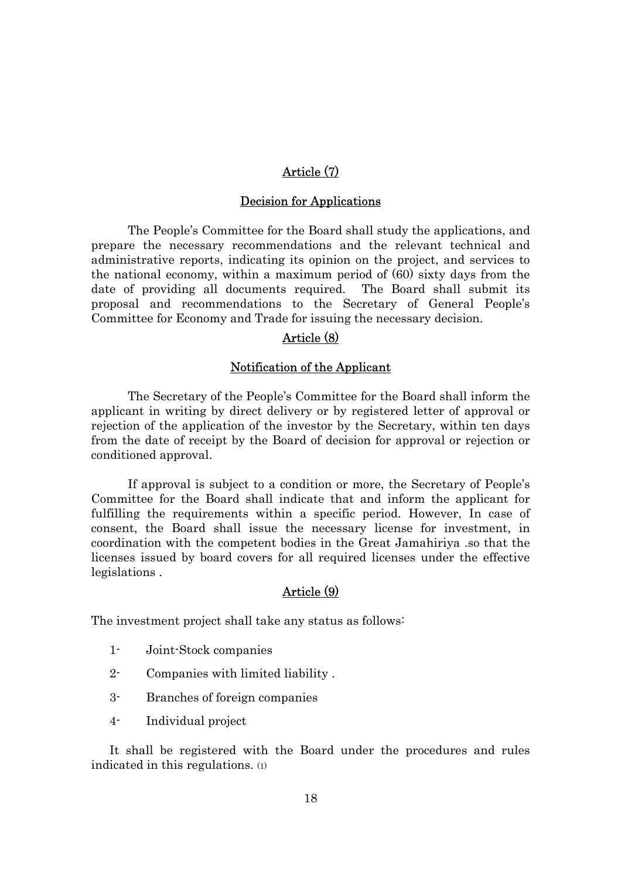# Article (7)

#### Decision for Applications

The People's Committee for the Board shall study the applications, and prepare the necessary recommendations and the relevant technical and administrative reports, indicating its opinion on the project, and services to the national economy, within a maximum period of (60) sixty days from the date of providing all documents required. The Board shall submit its proposal and recommendations to the Secretary of General People's Committee for Economy and Trade for issuing the necessary decision.

# Article (8)

### Notification of the Applicant

The Secretary of the People's Committee for the Board shall inform the applicant in writing by direct delivery or by registered letter of approval or rejection of the application of the investor by the Secretary, within ten days from the date of receipt by the Board of decision for approval or rejection or conditioned approval.

If approval is subject to a condition or more, the Secretary of People's Committee for the Board shall indicate that and inform the applicant for fulfilling the requirements within a specific period. However, In case of consent, the Board shall issue the necessary license for investment, in coordination with the competent bodies in the Great Jamahiriya .so that the licenses issued by board covers for all required licenses under the effective legislations .

# Article (9)

The investment project shall take any status as follows:

- 1- Joint-Stock companies
- 2- Companies with limited liability .
- 3- Branches of foreign companies
- 4- Individual project

It shall be registered with the Board under the procedures and rules indicated in this regulations. (1)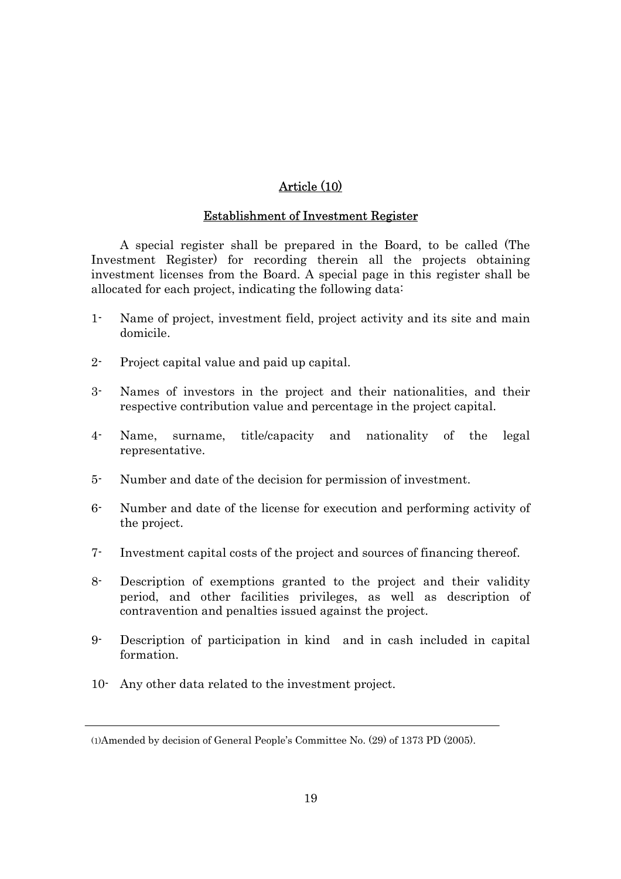# Article (10)

### Establishment of Investment Register

A special register shall be prepared in the Board, to be called (The Investment Register) for recording therein all the projects obtaining investment licenses from the Board. A special page in this register shall be allocated for each project, indicating the following data:

- 1- Name of project, investment field, project activity and its site and main domicile.
- 2- Project capital value and paid up capital.
- 3- Names of investors in the project and their nationalities, and their respective contribution value and percentage in the project capital.
- 4- Name, surname, title/capacity and nationality of the legal representative.
- 5- Number and date of the decision for permission of investment.
- 6- Number and date of the license for execution and performing activity of the project.
- 7- Investment capital costs of the project and sources of financing thereof.
- 8- Description of exemptions granted to the project and their validity period, and other facilities privileges, as well as description of contravention and penalties issued against the project.
- 9- Description of participation in kind and in cash included in capital formation.
- 10- Any other data related to the investment project.

<sup>(1)</sup>Amended by decision of General People's Committee No. (29) of 1373 PD (2005).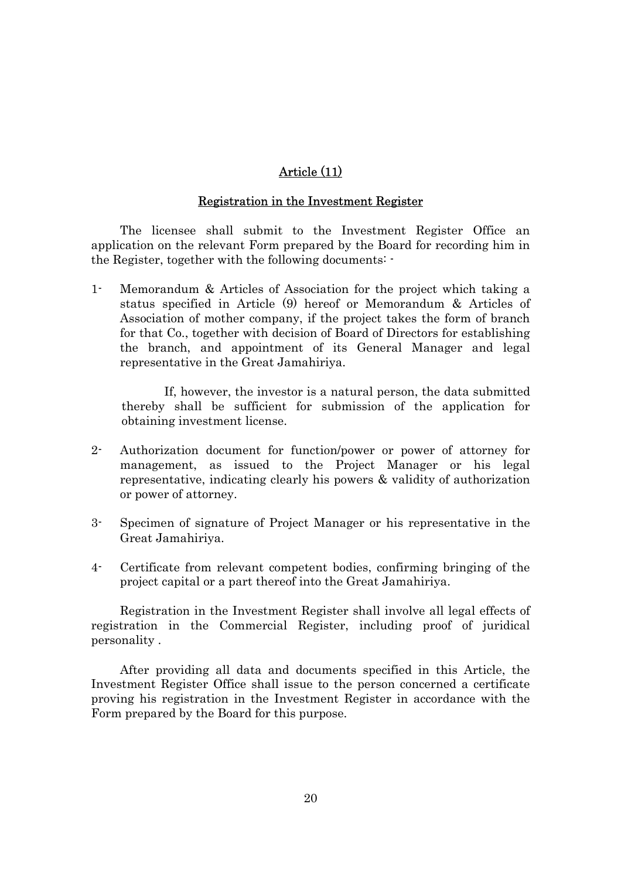# Article (11)

#### Registration in the Investment Register

The licensee shall submit to the Investment Register Office an application on the relevant Form prepared by the Board for recording him in the Register, together with the following documents: -

1- Memorandum & Articles of Association for the project which taking a status specified in Article (9) hereof or Memorandum & Articles of Association of mother company, if the project takes the form of branch for that Co., together with decision of Board of Directors for establishing the branch, and appointment of its General Manager and legal representative in the Great Jamahiriya.

 If, however, the investor is a natural person, the data submitted thereby shall be sufficient for submission of the application for obtaining investment license.

- 2- Authorization document for function/power or power of attorney for management, as issued to the Project Manager or his legal representative, indicating clearly his powers & validity of authorization or power of attorney.
- 3- Specimen of signature of Project Manager or his representative in the Great Jamahiriya.
- 4- Certificate from relevant competent bodies, confirming bringing of the project capital or a part thereof into the Great Jamahiriya.

Registration in the Investment Register shall involve all legal effects of registration in the Commercial Register, including proof of juridical personality .

After providing all data and documents specified in this Article, the Investment Register Office shall issue to the person concerned a certificate proving his registration in the Investment Register in accordance with the Form prepared by the Board for this purpose.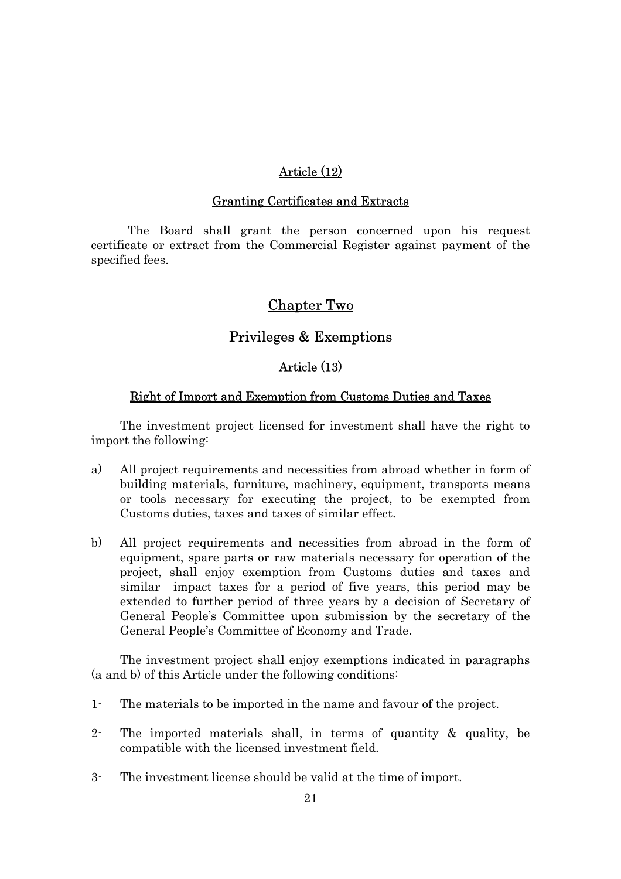# Article (12)

### Granting Certificates and Extracts

The Board shall grant the person concerned upon his request certificate or extract from the Commercial Register against payment of the specified fees.

# Chapter Two

# Privileges & Exemptions

# Article (13)

### Right of Import and Exemption from Customs Duties and Taxes

The investment project licensed for investment shall have the right to import the following:

- a) All project requirements and necessities from abroad whether in form of building materials, furniture, machinery, equipment, transports means or tools necessary for executing the project, to be exempted from Customs duties, taxes and taxes of similar effect.
- b) All project requirements and necessities from abroad in the form of equipment, spare parts or raw materials necessary for operation of the project, shall enjoy exemption from Customs duties and taxes and similar impact taxes for a period of five years, this period may be extended to further period of three years by a decision of Secretary of General People's Committee upon submission by the secretary of the General People's Committee of Economy and Trade.

The investment project shall enjoy exemptions indicated in paragraphs (a and b) of this Article under the following conditions:

- 1- The materials to be imported in the name and favour of the project.
- 2- The imported materials shall, in terms of quantity & quality, be compatible with the licensed investment field.
- 3- The investment license should be valid at the time of import.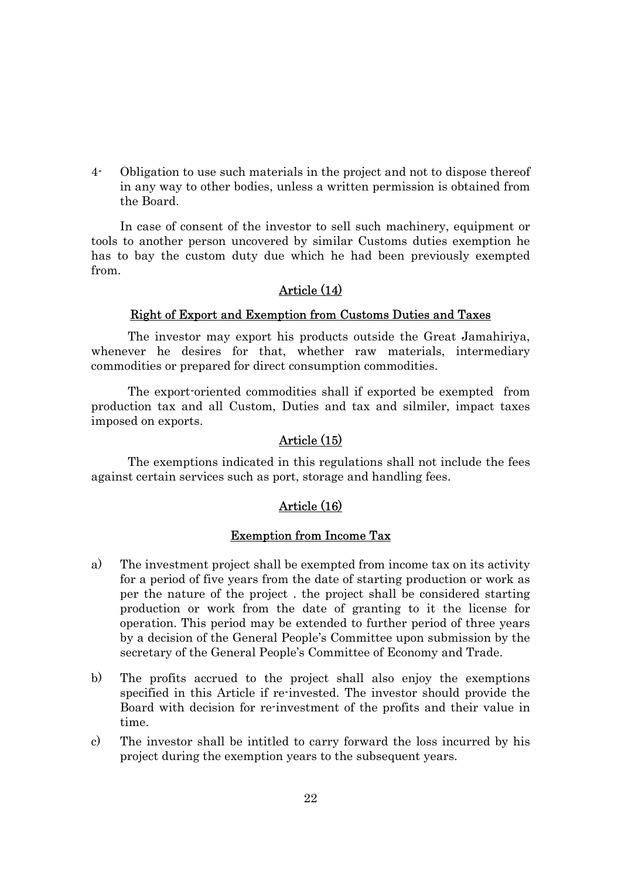4- Obligation to use such materials in the project and not to dispose thereof in any way to other bodies, unless a written permission is obtained from the Board.

In case of consent of the investor to sell such machinery, equipment or tools to another person uncovered by similar Customs duties exemption he has to bay the custom duty due which he had been previously exempted from.

### Article (14)

### Right of Export and Exemption from Customs Duties and Taxes

The investor may export his products outside the Great Jamahiriya, whenever he desires for that, whether raw materials, intermediary commodities or prepared for direct consumption commodities.

The export-oriented commodities shall if exported be exempted from production tax and all Custom, Duties and tax and silmiler, impact taxes imposed on exports.

### Article (15)

The exemptions indicated in this regulations shall not include the fees against certain services such as port, storage and handling fees.

### Article (16)

### Exemption from Income Tax

- a) The investment project shall be exempted from income tax on its activity for a period of five years from the date of starting production or work as per the nature of the project . the project shall be considered starting production or work from the date of granting to it the license for operation. This period may be extended to further period of three years by a decision of the General People's Committee upon submission by the secretary of the General People's Committee of Economy and Trade.
- b) The profits accrued to the project shall also enjoy the exemptions specified in this Article if re-invested. The investor should provide the Board with decision for re-investment of the profits and their value in time.
- c) The investor shall be intitled to carry forward the loss incurred by his project during the exemption years to the subsequent years.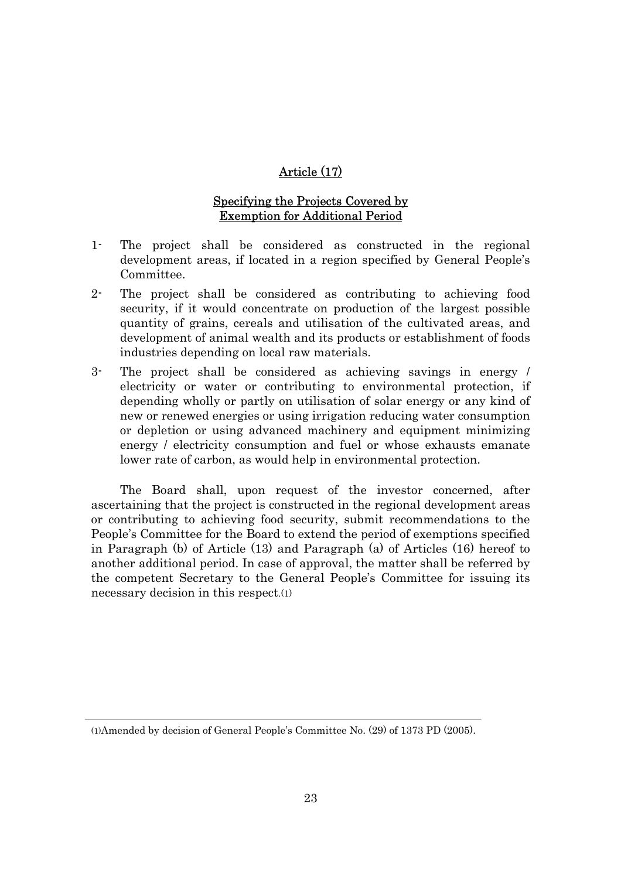# Article (17)

### Specifying the Projects Covered by Exemption for Additional Period

- 1- The project shall be considered as constructed in the regional development areas, if located in a region specified by General People's Committee.
- 2- The project shall be considered as contributing to achieving food security, if it would concentrate on production of the largest possible quantity of grains, cereals and utilisation of the cultivated areas, and development of animal wealth and its products or establishment of foods industries depending on local raw materials.
- 3- The project shall be considered as achieving savings in energy / electricity or water or contributing to environmental protection, if depending wholly or partly on utilisation of solar energy or any kind of new or renewed energies or using irrigation reducing water consumption or depletion or using advanced machinery and equipment minimizing energy / electricity consumption and fuel or whose exhausts emanate lower rate of carbon, as would help in environmental protection.

The Board shall, upon request of the investor concerned, after ascertaining that the project is constructed in the regional development areas or contributing to achieving food security, submit recommendations to the People's Committee for the Board to extend the period of exemptions specified in Paragraph (b) of Article (13) and Paragraph (a) of Articles (16) hereof to another additional period. In case of approval, the matter shall be referred by the competent Secretary to the General People's Committee for issuing its necessary decision in this respect.(1)

<sup>(1)</sup>Amended by decision of General People's Committee No. (29) of 1373 PD (2005).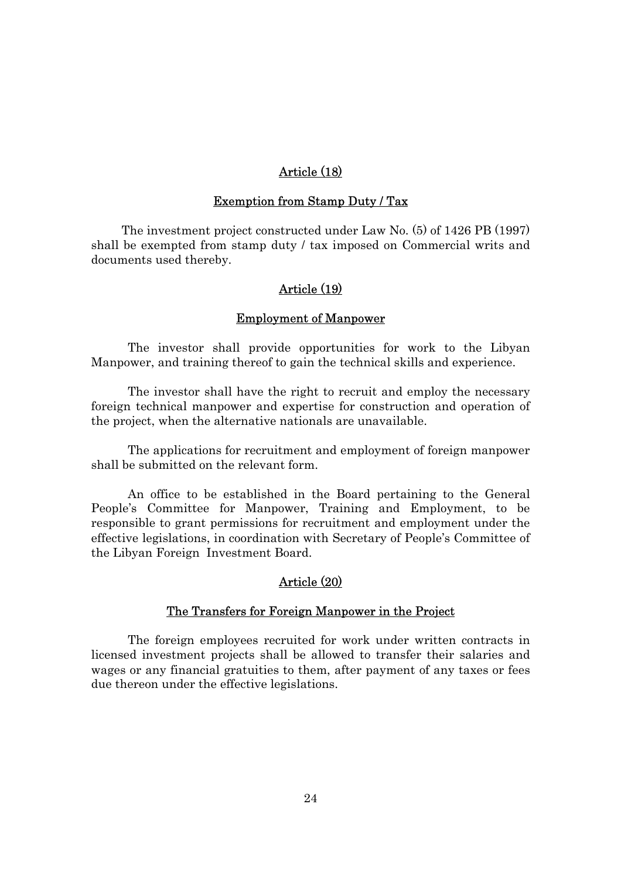# Article (18)

#### Exemption from Stamp Duty / Tax

The investment project constructed under Law No. (5) of 1426 PB (1997) shall be exempted from stamp duty / tax imposed on Commercial writs and documents used thereby.

### Article (19)

#### Employment of Manpower

The investor shall provide opportunities for work to the Libyan Manpower, and training thereof to gain the technical skills and experience.

The investor shall have the right to recruit and employ the necessary foreign technical manpower and expertise for construction and operation of the project, when the alternative nationals are unavailable.

The applications for recruitment and employment of foreign manpower shall be submitted on the relevant form.

An office to be established in the Board pertaining to the General People's Committee for Manpower, Training and Employment, to be responsible to grant permissions for recruitment and employment under the effective legislations, in coordination with Secretary of People's Committee of the Libyan Foreign Investment Board.

### Article (20)

### The Transfers for Foreign Manpower in the Project

The foreign employees recruited for work under written contracts in licensed investment projects shall be allowed to transfer their salaries and wages or any financial gratuities to them, after payment of any taxes or fees due thereon under the effective legislations.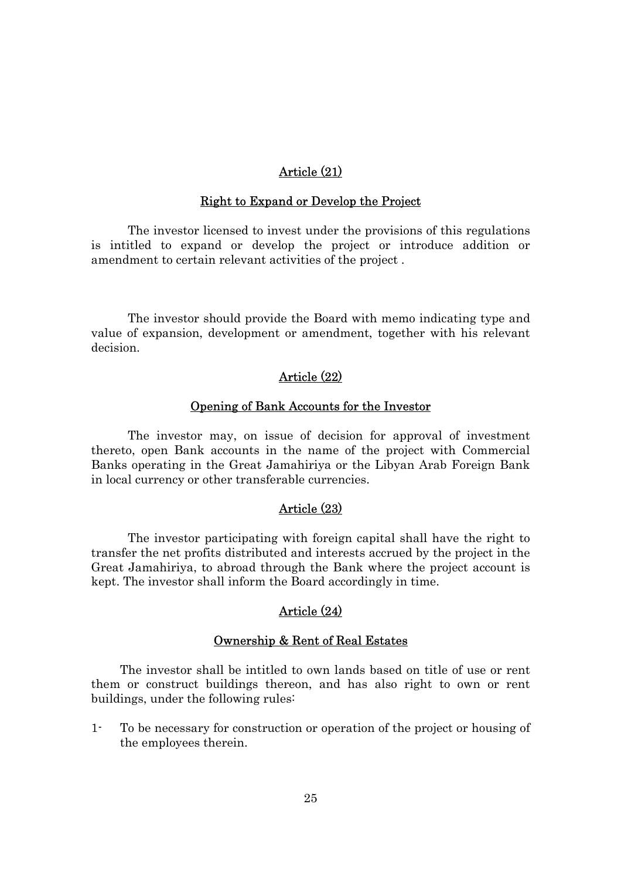# Article (21)

#### Right to Expand or Develop the Project

The investor licensed to invest under the provisions of this regulations is intitled to expand or develop the project or introduce addition or amendment to certain relevant activities of the project .

The investor should provide the Board with memo indicating type and value of expansion, development or amendment, together with his relevant decision.

### Article (22)

#### Opening of Bank Accounts for the Investor

The investor may, on issue of decision for approval of investment thereto, open Bank accounts in the name of the project with Commercial Banks operating in the Great Jamahiriya or the Libyan Arab Foreign Bank in local currency or other transferable currencies.

### Article (23)

The investor participating with foreign capital shall have the right to transfer the net profits distributed and interests accrued by the project in the Great Jamahiriya, to abroad through the Bank where the project account is kept. The investor shall inform the Board accordingly in time.

# Article (24)

### Ownership & Rent of Real Estates

The investor shall be intitled to own lands based on title of use or rent them or construct buildings thereon, and has also right to own or rent buildings, under the following rules:

1- To be necessary for construction or operation of the project or housing of the employees therein.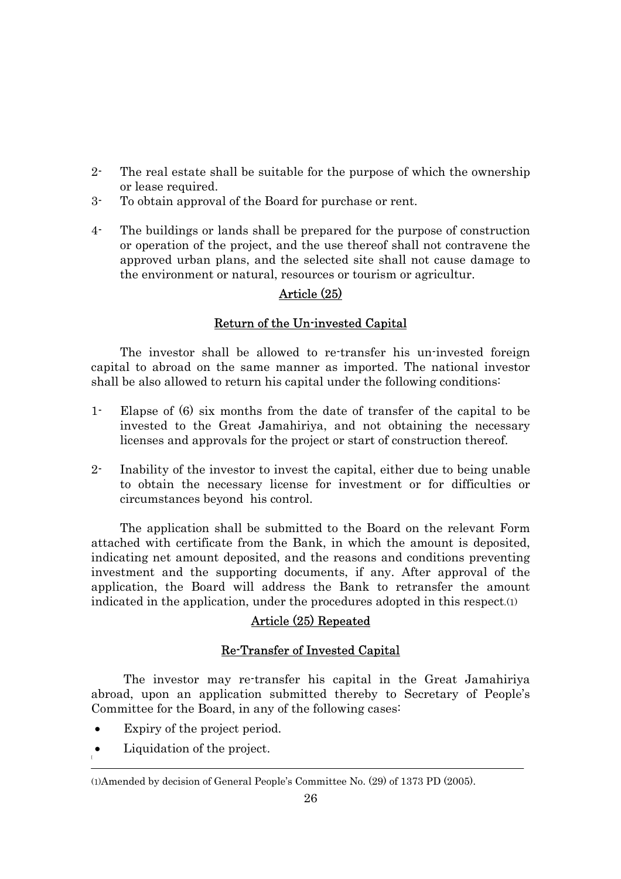- 2- The real estate shall be suitable for the purpose of which the ownership or lease required.
- 3- To obtain approval of the Board for purchase or rent.
- 4- The buildings or lands shall be prepared for the purpose of construction or operation of the project, and the use thereof shall not contravene the approved urban plans, and the selected site shall not cause damage to the environment or natural, resources or tourism or agricultur.

# Article (25)

# Return of the Un-invested Capital

The investor shall be allowed to re-transfer his un-invested foreign capital to abroad on the same manner as imported. The national investor shall be also allowed to return his capital under the following conditions:

- 1- Elapse of (6) six months from the date of transfer of the capital to be invested to the Great Jamahiriya, and not obtaining the necessary licenses and approvals for the project or start of construction thereof.
- 2- Inability of the investor to invest the capital, either due to being unable to obtain the necessary license for investment or for difficulties or circumstances beyond his control.

The application shall be submitted to the Board on the relevant Form attached with certificate from the Bank, in which the amount is deposited, indicating net amount deposited, and the reasons and conditions preventing investment and the supporting documents, if any. After approval of the application, the Board will address the Bank to retransfer the amount indicated in the application, under the procedures adopted in this respect.(1)

# Article (25) Repeated

# Re-Transfer of Invested Capital

The investor may re-transfer his capital in the Great Jamahiriya abroad, upon an application submitted thereby to Secretary of People's Committee for the Board, in any of the following cases:

- Expiry of the project period.
- $\bullet$  Liquidation of the project.

<sup>(1)</sup>Amended by decision of General People's Committee No. (29) of 1373 PD (2005).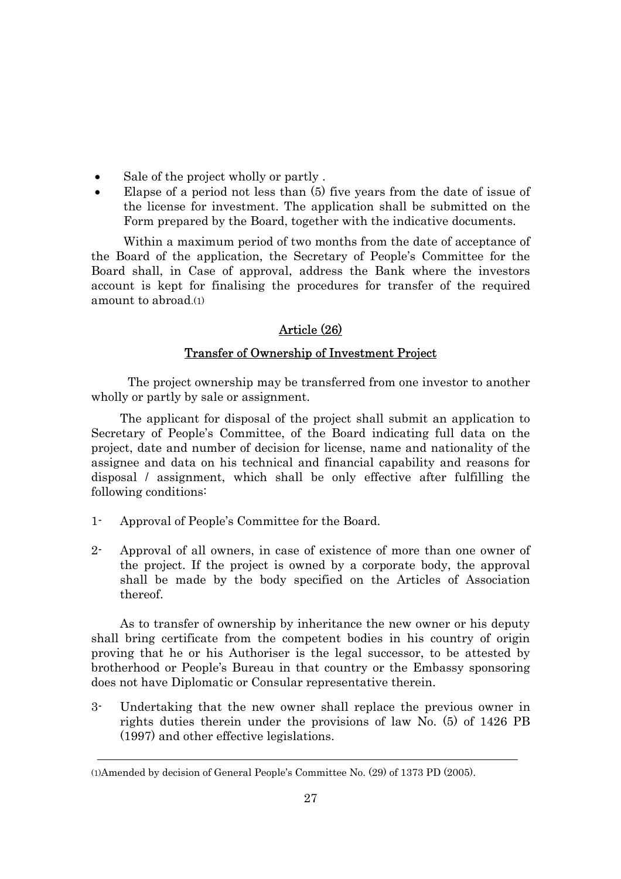- Sale of the project wholly or partly.
- Elapse of a period not less than (5) five years from the date of issue of the license for investment. The application shall be submitted on the Form prepared by the Board, together with the indicative documents.

Within a maximum period of two months from the date of acceptance of the Board of the application, the Secretary of People's Committee for the Board shall, in Case of approval, address the Bank where the investors account is kept for finalising the procedures for transfer of the required amount to abroad.(1)

# Article (26)

### Transfer of Ownership of Investment Project

The project ownership may be transferred from one investor to another wholly or partly by sale or assignment.

The applicant for disposal of the project shall submit an application to Secretary of People's Committee, of the Board indicating full data on the project, date and number of decision for license, name and nationality of the assignee and data on his technical and financial capability and reasons for disposal / assignment, which shall be only effective after fulfilling the following conditions:

- 1- Approval of People's Committee for the Board.
- 2- Approval of all owners, in case of existence of more than one owner of the project. If the project is owned by a corporate body, the approval shall be made by the body specified on the Articles of Association thereof.

As to transfer of ownership by inheritance the new owner or his deputy shall bring certificate from the competent bodies in his country of origin proving that he or his Authoriser is the legal successor, to be attested by brotherhood or People's Bureau in that country or the Embassy sponsoring does not have Diplomatic or Consular representative therein.

3- Undertaking that the new owner shall replace the previous owner in rights duties therein under the provisions of law No. (5) of 1426 PB (1997) and other effective legislations.

<sup>(1)</sup>Amended by decision of General People's Committee No. (29) of 1373 PD (2005).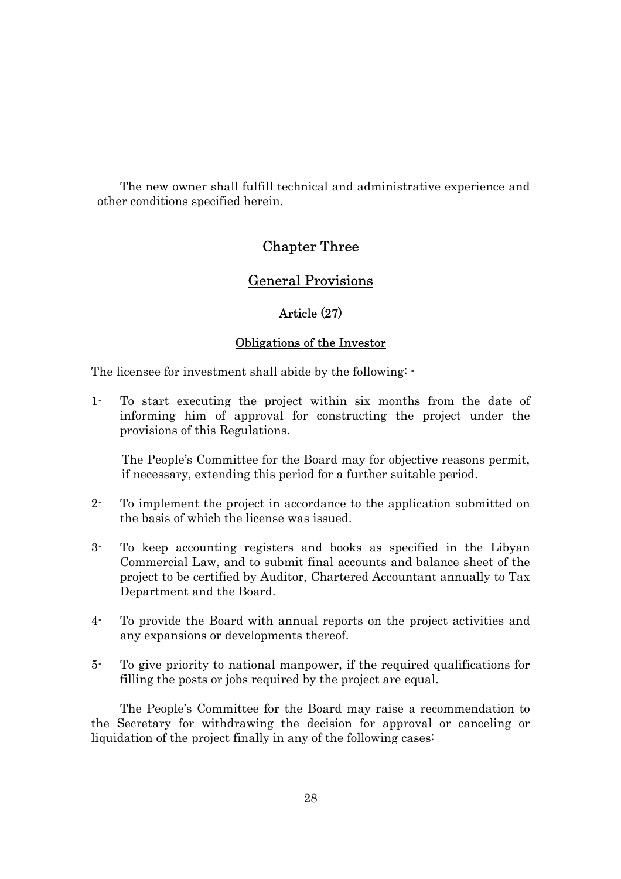The new owner shall fulfill technical and administrative experience and other conditions specified herein.

# Chapter Three

# General Provisions

# Article (27)

### Obligations of the Investor

The licensee for investment shall abide by the following: -

1- To start executing the project within six months from the date of informing him of approval for constructing the project under the provisions of this Regulations.

 The People's Committee for the Board may for objective reasons permit, if necessary, extending this period for a further suitable period.

- 2- To implement the project in accordance to the application submitted on the basis of which the license was issued.
- 3- To keep accounting registers and books as specified in the Libyan Commercial Law, and to submit final accounts and balance sheet of the project to be certified by Auditor, Chartered Accountant annually to Tax Department and the Board.
- 4- To provide the Board with annual reports on the project activities and any expansions or developments thereof.
- 5- To give priority to national manpower, if the required qualifications for filling the posts or jobs required by the project are equal.

The People's Committee for the Board may raise a recommendation to the Secretary for withdrawing the decision for approval or canceling or liquidation of the project finally in any of the following cases: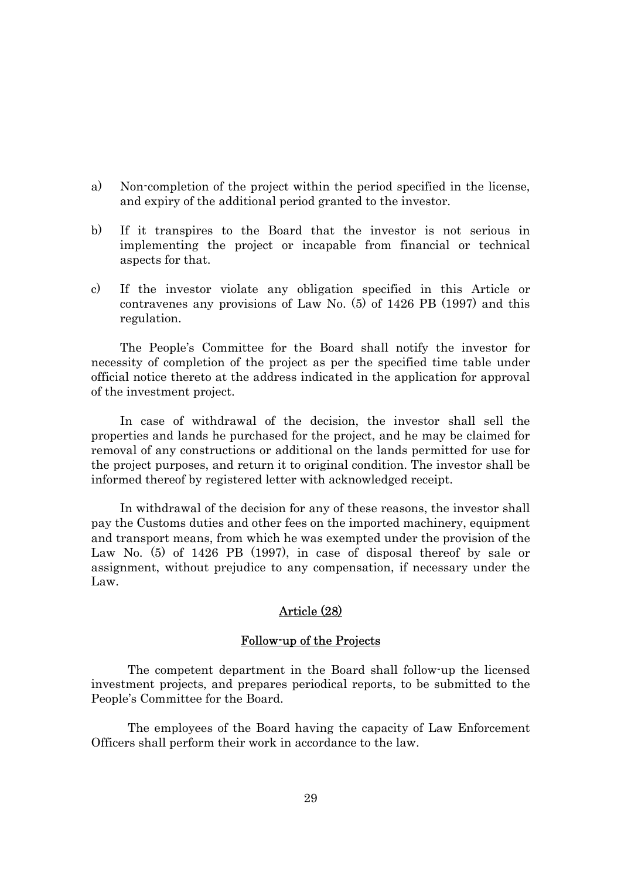- a) Non-completion of the project within the period specified in the license, and expiry of the additional period granted to the investor.
- b) If it transpires to the Board that the investor is not serious in implementing the project or incapable from financial or technical aspects for that.
- c) If the investor violate any obligation specified in this Article or contravenes any provisions of Law No. (5) of 1426 PB (1997) and this regulation.

The People's Committee for the Board shall notify the investor for necessity of completion of the project as per the specified time table under official notice thereto at the address indicated in the application for approval of the investment project.

In case of withdrawal of the decision, the investor shall sell the properties and lands he purchased for the project, and he may be claimed for removal of any constructions or additional on the lands permitted for use for the project purposes, and return it to original condition. The investor shall be informed thereof by registered letter with acknowledged receipt.

In withdrawal of the decision for any of these reasons, the investor shall pay the Customs duties and other fees on the imported machinery, equipment and transport means, from which he was exempted under the provision of the Law No. (5) of 1426 PB (1997), in case of disposal thereof by sale or assignment, without prejudice to any compensation, if necessary under the Law.

# Article (28)

#### Follow-up of the Projects

The competent department in the Board shall follow-up the licensed investment projects, and prepares periodical reports, to be submitted to the People's Committee for the Board.

The employees of the Board having the capacity of Law Enforcement Officers shall perform their work in accordance to the law.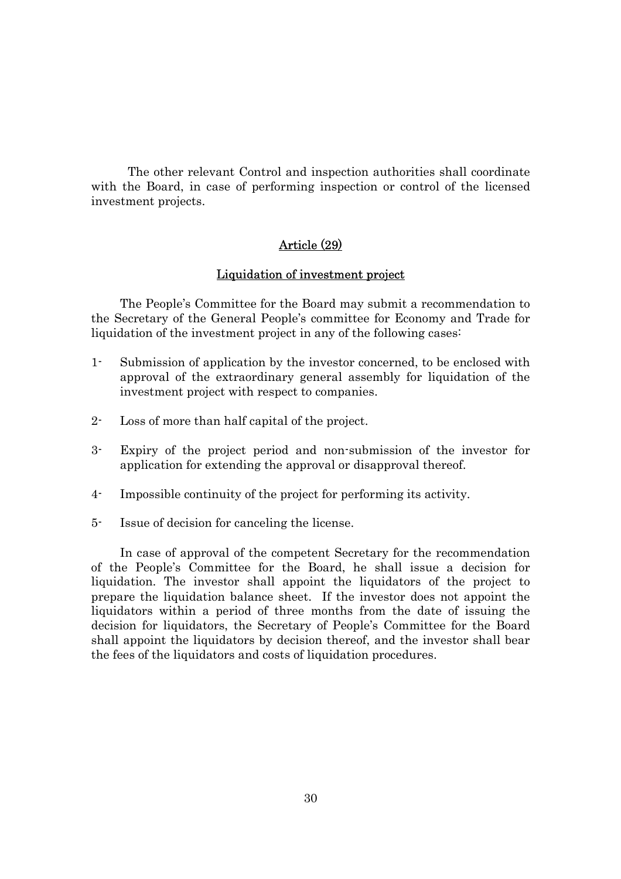The other relevant Control and inspection authorities shall coordinate with the Board, in case of performing inspection or control of the licensed investment projects.

# Article (29)

### Liquidation of investment project

The People's Committee for the Board may submit a recommendation to the Secretary of the General People's committee for Economy and Trade for liquidation of the investment project in any of the following cases:

- 1- Submission of application by the investor concerned, to be enclosed with approval of the extraordinary general assembly for liquidation of the investment project with respect to companies.
- 2- Loss of more than half capital of the project.
- 3- Expiry of the project period and non-submission of the investor for application for extending the approval or disapproval thereof.
- 4- Impossible continuity of the project for performing its activity.
- 5- Issue of decision for canceling the license.

In case of approval of the competent Secretary for the recommendation of the People's Committee for the Board, he shall issue a decision for liquidation. The investor shall appoint the liquidators of the project to prepare the liquidation balance sheet. If the investor does not appoint the liquidators within a period of three months from the date of issuing the decision for liquidators, the Secretary of People's Committee for the Board shall appoint the liquidators by decision thereof, and the investor shall bear the fees of the liquidators and costs of liquidation procedures.